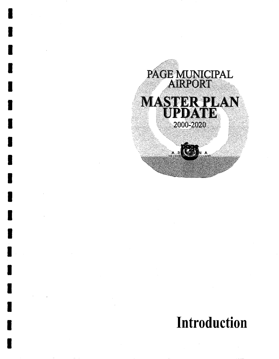

# **Introduction**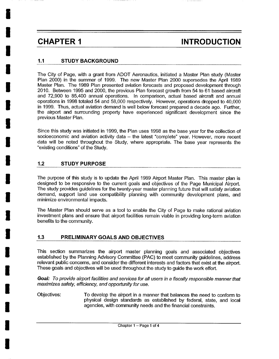**i** 

**I** 

**I** 

**I** 

**I** 

**I** 

**I** 

**I** 

**I** 

**I** 

**I** 

**I** 

**I** 

**I** 

**I** 

**I** 

**I** 

**I** 

**I** 

## **CHAPTER 1** INTRODUCTION

### **1.1 STUDY BACKGROUND**

The City of Page, with a grant from ADOT Aeronautics, initiated a Master Plan study (Master Plan 2000) in the summer of 1999. The new Master Plan 2000 supersedes the April 1989 Master Plan. The 1989 Plan presented aviation forecasts and proposed development through 2010. Between 1995 and 2000, the previous Plan forecast growth from 54 to 61 based aircraft and 72,900 to 85,400 annual operations. In comparison, actual based aircraft and annual operations in 1998 totaled 54 and 58,000 respectively. However, operations dropped to 40,000 in 1999. Thus, actual aviation demand is well below forecast prepared a decade ago. Further, the airport and surrounding property have experienced significant development since the previous Master Plan.

Since this study was initiated in 1999, the Plan uses 1998 as the base year for the collection of socioeconomic and aviation activity data – the latest "complete" year. However, more recent data will be noted throughout the Study, where appropriate. The base year represents the "existing conditions" of the Study.

#### **1.2 STUDY PURPOSE**

The purpose of this study is to update the April 1989 Airport Master Plan. This master plan is designed to be responsive to the current goals and objectives of the Page Municipal Airport. The study provides guidelines for the twenty-year master planning future that will satisfy aviation demand, support land use compatibility planning with community development plans, and minimize environmental impacts.

The Master Plan should serve as a tool to enable the City of Page to make rational aviation investment plans and ensure that airport facilities remain viable in providing long-term aviation benefits to the community.

#### **1.3 PRELIMINARY GOALS AND OBJECTIVES**

This section summarizes the airport master planning goals and associated objectives established by the Planning Advisory Committee (PAC) to meet community guidelines, address relevant public concerns, and consider the different interests and factors that exist at the airport. These goals and objectives will be used throughout the study to guide the work effort.

*Goal: To provide airport facilities and services for all users in a fiscally responsible manner that maximizes safety, efficiency, and opportunity for use.* 

Objectives: To develop the airport in a manner that balances the need to conform to physical design standards as established by federal, state, and local agencies, with community needs and the financial constraints.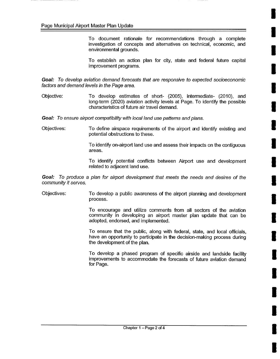To document rationale for recommendations through a complete investigation of concepts and alternatives on technical, economic, and environmental grounds.

To establish an action plan for city, state and federal future capital improvement programs.

Goal: To develop aviation demand forecasts that are responsive to expected socioeconomic *factors and demand levels in the Page area.* 

Objective: To develop estimates of short- (2005), intermediate- (2010), and long-term (2020) aviation activity levels at Page. To identify the possible characteristics of future air travel demand.

*Goal: To ensure airport compatibility with local land use patterns and plans.* 

Objectives: To define airspace requirements of the airport and identify existing and potential obstructions to these.

> To identify on-airport land use and assess their impacts on the contiguous areas.

> To identify potential conflicts between Airport use and development related to adjacent land use.

*Goal: To produce a plan for airport development that meets the needs and desires of the community it serves.* 

Objectives: To develop a public awareness of the airport planning and development process.

> To encourage and utilize comments from all sectors of the aviation community in developing an airport master plan update that can be adopted, endorsed, and implemented.

> To ensure that the public, along with federal, state, and local officials, have an opportunity to participate in the decision-making process during the development of the plan.

> To develop a phased program of specific airside and landside facility improvements to accommodate the forecasts of future aviation demand for Page.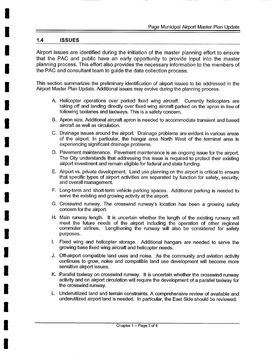#### **1.4 ISSUES**

**u** 

Airport issues are identified during the initiation of the master planning effort to ensure that the PAC and public have an early opportunity to provide input into the master planning process. This effort also provides the necessary information to the members of the PAC and consultant team to guide the data collection process.

This section summarizes the preliminary identification of airport issues to be addressed in the Airport Master Plan Update. Additional issues may evolve during the planning process.

- A. Helicopter operations over parked fixed wing aircraft. Currently helicopters are taking off and landing directly over fixed wing aircraft parked on the apron in lieu of following taxilanes and taxiways. This is a safety concern.
- B. Apron size. Additional aircraft apron is needed to accommodate transient and based aircraft as well as circulation.
- C. Drainage issues around the airport. Drainage problems are evident in various areas of the airport. In particular, the hangar area North West of the terminal area is experiencing significant drainage problems.
- D. Pavement maintenance. Pavement maintenance is an ongoing issue for the airport. The City understands that addressing this issue is required to protect their existing airport investment and remain eligible for federal and state funding.
- E. Airport vs. private development. Land use planning on the airport is critical to ensure that specific types of airport activities are separated by function for safety, security, and overall management.
- F. Long-term and short-term vehicle parking spaces. Additional parking is needed to serve the existing and growing activity at the airport.
- G. Crosswind runway. The crosswind runway's location has been a growing safety concern for the airport.
- H. Main runway length. It is uncertain whether the length of the existing runway will meet the future needs of the airport including the operation of other regional commuter airlines. Lengthening the runway will also be considered for safety purposes.
- Fixed wing and helicopter storage. Additional hangars are needed to serve the growing base fixed wing aircraft and helicopter needs.
- J. Off-airport compatible land uses and noise. As the community and aviation activity continues to grow, noise and compatible land use development will become more sensitive airport issues.
- K. Parallel taxiway on crosswind runway. It is uncertain whether the crosswind runway activity and on airport circulation will require the development of a parallel taxiway for the crosswind runway.
- L. Underutilized land and terrain constraints. A comprehensive review of available and underutilized airport land is needed. In particular, the East Side should be reviewed.